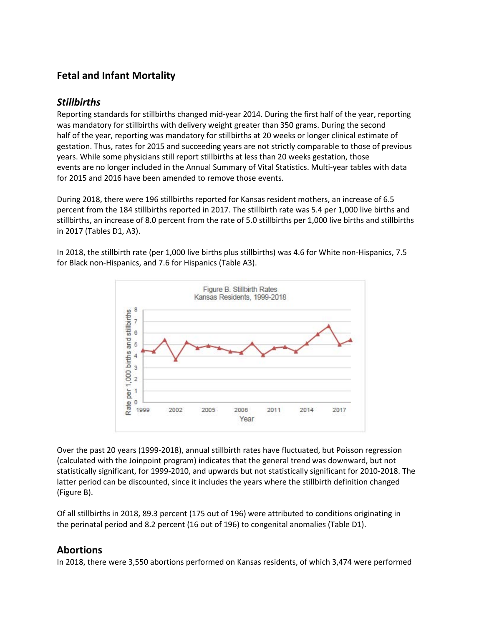# **Fetal and Infant Mortality**

# *Stillbirths*

Reporting standards for stillbirths changed mid-year 2014. During the first half of the year, reporting was mandatory for stillbirths with delivery weight greater than 350 grams. During the second half of the year, reporting was mandatory for stillbirths at 20 weeks or longer clinical estimate of gestation. Thus, rates for 2015 and succeeding years are not strictly comparable to those of previous years. While some physicians still report stillbirths at less than 20 weeks gestation, those events are no longer included in the Annual Summary of Vital Statistics. Multi-year tables with data for 2015 and 2016 have been amended to remove those events.

During 2018, there were 196 stillbirths reported for Kansas resident mothers, an increase of 6.5 percent from the 184 stillbirths reported in 2017. The stillbirth rate was 5.4 per 1,000 live births and stillbirths, an increase of 8.0 percent from the rate of 5.0 stillbirths per 1,000 live births and stillbirths in 2017 (Tables D1, A3).

In 2018, the stillbirth rate (per 1,000 live births plus stillbirths) was 4.6 for White non-Hispanics, 7.5 for Black non-Hispanics, and 7.6 for Hispanics (Table A3).



Over the past 20 years (1999-2018), annual stillbirth rates have fluctuated, but Poisson regression (calculated with the Joinpoint program) indicates that the general trend was downward, but not statistically significant, for 1999-2010, and upwards but not statistically significant for 2010-2018. The latter period can be discounted, since it includes the years where the stillbirth definition changed (Figure B).

Of all stillbirths in 2018, 89.3 percent (175 out of 196) were attributed to conditions originating in the perinatal period and 8.2 percent (16 out of 196) to congenital anomalies (Table D1).

### **Abortions**

In 2018, there were 3,550 abortions performed on Kansas residents, of which 3,474 were performed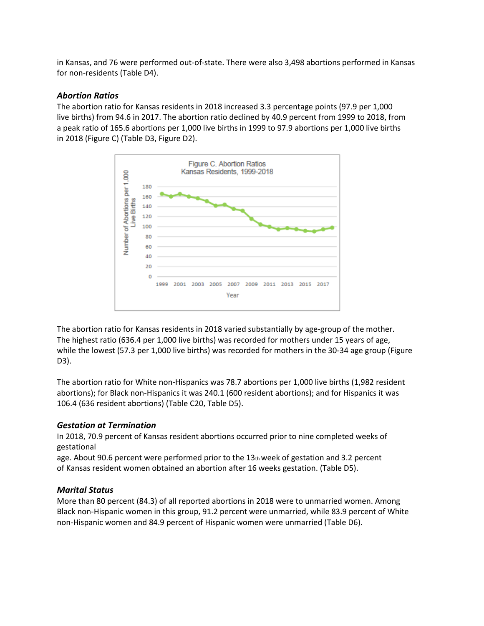in Kansas, and 76 were performed out-of-state. There were also 3,498 abortions performed in Kansas for non-residents (Table D4).

### *Abortion Ratios*

The abortion ratio for Kansas residents in 2018 increased 3.3 percentage points (97.9 per 1,000 live births) from 94.6 in 2017. The abortion ratio declined by 40.9 percent from 1999 to 2018, from a peak ratio of 165.6 abortions per 1,000 live births in 1999 to 97.9 abortions per 1,000 live births in 2018 (Figure C) (Table D3, Figure D2).



The abortion ratio for Kansas residents in 2018 varied substantially by age-group of the mother. The highest ratio (636.4 per 1,000 live births) was recorded for mothers under 15 years of age, while the lowest (57.3 per 1,000 live births) was recorded for mothers in the 30-34 age group (Figure D3).

The abortion ratio for White non-Hispanics was 78.7 abortions per 1,000 live births (1,982 resident abortions); for Black non-Hispanics it was 240.1 (600 resident abortions); and for Hispanics it was 106.4 (636 resident abortions) (Table C20, Table D5).

### *Gestation at Termination*

In 2018, 70.9 percent of Kansas resident abortions occurred prior to nine completed weeks of gestational

age. About 90.6 percent were performed prior to the  $13<sub>th</sub>$  week of gestation and 3.2 percent of Kansas resident women obtained an abortion after 16 weeks gestation. (Table D5).

### *Marital Status*

More than 80 percent (84.3) of all reported abortions in 2018 were to unmarried women. Among Black non-Hispanic women in this group, 91.2 percent were unmarried, while 83.9 percent of White non-Hispanic women and 84.9 percent of Hispanic women were unmarried (Table D6).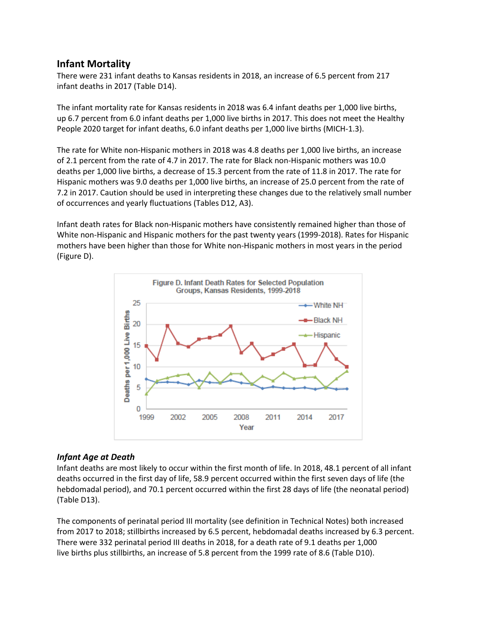## **Infant Mortality**

There were 231 infant deaths to Kansas residents in 2018, an increase of 6.5 percent from 217 infant deaths in 2017 (Table D14).

The infant mortality rate for Kansas residents in 2018 was 6.4 infant deaths per 1,000 live births, up 6.7 percent from 6.0 infant deaths per 1,000 live births in 2017. This does not meet the Healthy People 2020 target for infant deaths, 6.0 infant deaths per 1,000 live births (MICH-1.3).

The rate for White non-Hispanic mothers in 2018 was 4.8 deaths per 1,000 live births, an increase of 2.1 percent from the rate of 4.7 in 2017. The rate for Black non-Hispanic mothers was 10.0 deaths per 1,000 live births, a decrease of 15.3 percent from the rate of 11.8 in 2017. The rate for Hispanic mothers was 9.0 deaths per 1,000 live births, an increase of 25.0 percent from the rate of 7.2 in 2017. Caution should be used in interpreting these changes due to the relatively small number of occurrences and yearly fluctuations (Tables D12, A3).

Infant death rates for Black non-Hispanic mothers have consistently remained higher than those of White non-Hispanic and Hispanic mothers for the past twenty years (1999-2018). Rates for Hispanic mothers have been higher than those for White non-Hispanic mothers in most years in the period (Figure D).



### *Infant Age at Death*

Infant deaths are most likely to occur within the first month of life. In 2018, 48.1 percent of all infant deaths occurred in the first day of life, 58.9 percent occurred within the first seven days of life (the hebdomadal period), and 70.1 percent occurred within the first 28 days of life (the neonatal period) (Table D13).

The components of perinatal period III mortality (see definition in Technical Notes) both increased from 2017 to 2018; stillbirths increased by 6.5 percent, hebdomadal deaths increased by 6.3 percent. There were 332 perinatal period III deaths in 2018, for a death rate of 9.1 deaths per 1,000 live births plus stillbirths, an increase of 5.8 percent from the 1999 rate of 8.6 (Table D10).